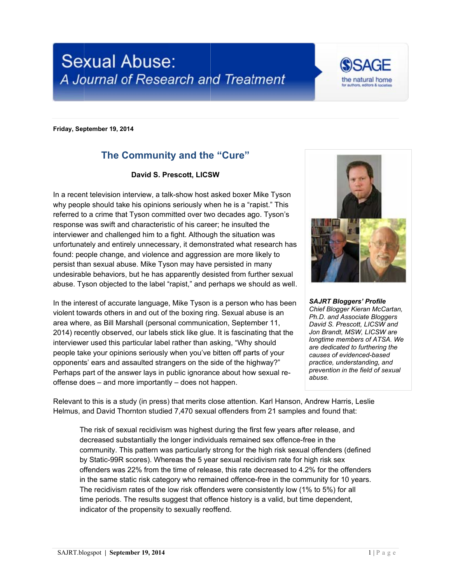



Friday, September 19, 2014

## The Community and the "Cure"

## David S. Prescott, LICSW

In a recent television interview, a talk-show host asked boxer Mike Tyson why people should take his opinions seriously when he is a "rapist." This referred to a crime that Tyson committed over two decades ago. Tyson's response was swift and characteristic of his career; he insulted the interviewer and challenged him to a fight. Although the situation was unfortunately and entirely unnecessary, it demonstrated what research has found: people change, and violence and aggression are more likely to persist than sexual abuse. Mike Tyson may have persisted in many undesirable behaviors, but he has apparently desisted from further sexual abuse. Tyson objected to the label "rapist," and perhaps we should as well.

In the interest of accurate language, Mike Tyson is a person who has been violent towards others in and out of the boxing ring. Sexual abuse is an area where, as Bill Marshall (personal communication, September 11, 2014) recently observed, our labels stick like glue. It is fascinating that the interviewer used this particular label rather than asking, "Why should" people take your opinions seriously when you've bitten off parts of your opponents' ears and assaulted strangers on the side of the highway?" Perhaps part of the answer lays in public ignorance about how sexual reoffense does – and more importantly – does not happen.



**SAJRT Bloggers' Profile** Chief Blogger Kieran McCartan. Ph.D. and Associate Bloggers David S. Prescott, LICSW and Jon Brandt, MSW, LICSW are longtime members of ATSA. We are dedicated to furthering the causes of evidenced-based practice, understanding, and prevention in the field of sexual abuse

Relevant to this is a study (in press) that merits close attention. Karl Hanson, Andrew Harris, Leslie Helmus, and David Thornton studied 7,470 sexual offenders from 21 samples and found that:

The risk of sexual recidivism was highest during the first few years after release, and decreased substantially the longer individuals remained sex offence-free in the community. This pattern was particularly strong for the high risk sexual offenders (defined by Static-99R scores). Whereas the 5 year sexual recidivism rate for high risk sex offenders was 22% from the time of release, this rate decreased to 4.2% for the offenders in the same static risk category who remained offence-free in the community for 10 years. The recidivism rates of the low risk offenders were consistently low (1% to 5%) for all time periods. The results suggest that offence history is a valid, but time dependent, indicator of the propensity to sexually reoffend.